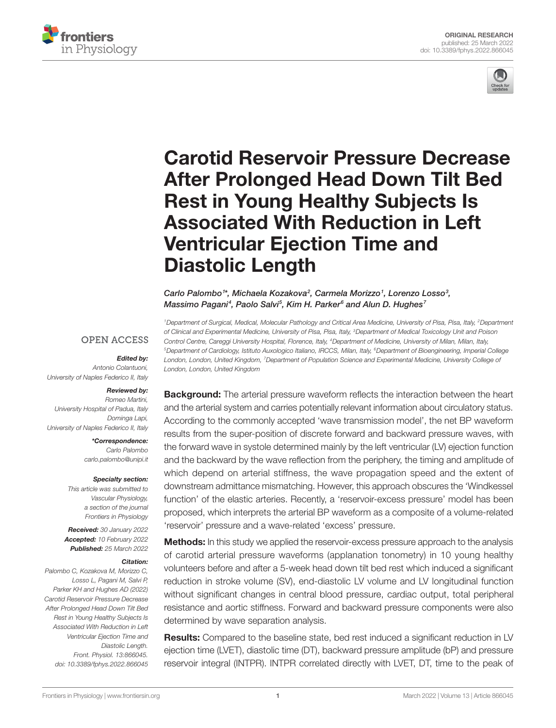



# [Carotid Reservoir Pressure Decrease](https://www.frontiersin.org/articles/10.3389/fphys.2022.866045/full)  [After Prolonged Head Down Tilt Bed](https://www.frontiersin.org/articles/10.3389/fphys.2022.866045/full)  [Rest in Young Healthy Subjects Is](https://www.frontiersin.org/articles/10.3389/fphys.2022.866045/full)  [Associated With Reduction in Left](https://www.frontiersin.org/articles/10.3389/fphys.2022.866045/full)  [Ventricular Ejection Time and](https://www.frontiersin.org/articles/10.3389/fphys.2022.866045/full)  [Diastolic Length](https://www.frontiersin.org/articles/10.3389/fphys.2022.866045/full)

Carlo Palombo<sup>1\*</sup>, Michaela Kozakova<sup>2</sup>, Carmela Morizzo<sup>1</sup>, Lorenzo Losso<sup>3</sup>, *Massimo Pagani4 , Paolo Salvi5 , Kim H. Parker6 and Alun D. Hughes7*

*1Department of Surgical, Medical, Molecular Pathology and Critical Area Medicine, University of Pisa, Pisa, Italy, 2Department of Clinical and Experimental Medicine, University of Pisa, Pisa, Italy, 3Department of Medical Toxicology Unit and Poison Control Centre, Careggi University Hospital, Florence, Italy, 4Department of Medicine, University of Milan, Milan, Italy, 5Department of Cardiology, Istituto Auxologico Italiano, IRCCS, Milan, Italy, 6Department of Bioengineering, Imperial College London, London, United Kingdom, 7Department of Population Science and Experimental Medicine, University College of London, London, United Kingdom*

#### **OPEN ACCESS**

#### *Edited by:*

*Antonio Colantuoni, University of Naples Federico II, Italy*

#### *Reviewed by:*

*Romeo Martini, University Hospital of Padua, Italy Dominga Lapi, University of Naples Federico II, Italy*

> *\*Correspondence: Carlo Palombo [carlo.palombo@unipi.it](mailto:carlo.palombo@unipi.it)*

#### *Specialty section:*

*This article was submitted to Vascular Physiology, a section of the journal Frontiers in Physiology*

*Received: 30 January 2022 Accepted: 10 February 2022 Published: 25 March 2022*

#### *Citation:*

*Palombo C, Kozakova M, Morizzo C, Losso L, Pagani M, Salvi P, Parker KH and Hughes AD (2022) Carotid Reservoir Pressure Decrease After Prolonged Head Down Tilt Bed Rest in Young Healthy Subjects Is Associated With Reduction in Left Ventricular Ejection Time and Diastolic Length. Front. Physiol. 13:866045. [doi: 10.3389/fphys.2022.866045](https://doi.org/10.3389/fphys.2022.866045)* **Background:** The arterial pressure waveform reflects the interaction between the heart and the arterial system and carries potentially relevant information about circulatory status. According to the commonly accepted 'wave transmission model', the net BP waveform results from the super-position of discrete forward and backward pressure waves, with the forward wave in systole determined mainly by the left ventricular (LV) ejection function and the backward by the wave reflection from the periphery, the timing and amplitude of which depend on arterial stiffness, the wave propagation speed and the extent of downstream admittance mismatching. However, this approach obscures the 'Windkessel function' of the elastic arteries. Recently, a 'reservoir-excess pressure' model has been proposed, which interprets the arterial BP waveform as a composite of a volume-related 'reservoir' pressure and a wave-related 'excess' pressure.

**Methods:** In this study we applied the reservoir-excess pressure approach to the analysis of carotid arterial pressure waveforms (applanation tonometry) in 10 young healthy volunteers before and after a 5-week head down tilt bed rest which induced a significant reduction in stroke volume (SV), end-diastolic LV volume and LV longitudinal function without significant changes in central blood pressure, cardiac output, total peripheral resistance and aortic stiffness. Forward and backward pressure components were also determined by wave separation analysis.

Results: Compared to the baseline state, bed rest induced a significant reduction in LV ejection time (LVET), diastolic time (DT), backward pressure amplitude (bP) and pressure reservoir integral (INTPR). INTPR correlated directly with LVET, DT, time to the peak of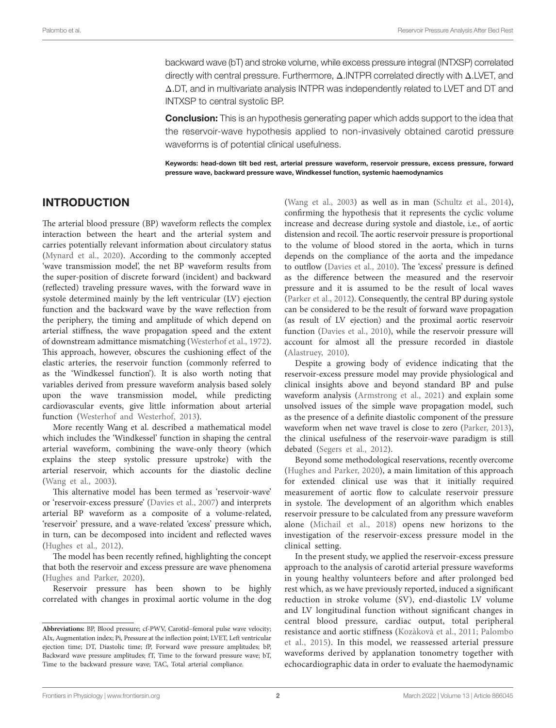backward wave (bT) and stroke volume, while excess pressure integral (INTXSP) correlated directly with central pressure. Furthermore, Δ.INTPR correlated directly with Δ.LVET, and Δ.DT, and in multivariate analysis INTPR was independently related to LVET and DT and INTXSP to central systolic BP.

**Conclusion:** This is an hypothesis generating paper which adds support to the idea that the reservoir-wave hypothesis applied to non-invasively obtained carotid pressure waveforms is of potential clinical usefulness.

Keywords: head-down tilt bed rest, arterial pressure waveform, reservoir pressure, excess pressure, forward pressure wave, backward pressure wave, Windkessel function, systemic haemodynamics

#### INTRODUCTION

The arterial blood pressure (BP) waveform reflects the complex interaction between the heart and the arterial system and carries potentially relevant information about circulatory status ([Mynard et al., 2020\)](#page-7-0). According to the commonly accepted 'wave transmission model', the net BP waveform results from the super-position of discrete forward (incident) and backward (reflected) traveling pressure waves, with the forward wave in systole determined mainly by the left ventricular (LV) ejection function and the backward wave by the wave reflection from the periphery, the timing and amplitude of which depend on arterial stiffness, the wave propagation speed and the extent of downstream admittance mismatching ([Westerhof et al., 1972](#page-7-1)). This approach, however, obscures the cushioning effect of the elastic arteries, the reservoir function (commonly referred to as the 'Windkessel function'). It is also worth noting that variables derived from pressure waveform analysis based solely upon the wave transmission model, while predicting cardiovascular events, give little information about arterial function ([Westerhof and Westerhof, 2013\)](#page-7-2).

More recently Wang et al. described a mathematical model which includes the 'Windkessel' function in shaping the central arterial waveform, combining the wave-only theory (which explains the steep systolic pressure upstroke) with the arterial reservoir, which accounts for the diastolic decline ([Wang et al., 2003\)](#page-7-3).

This alternative model has been termed as 'reservoir-wave' or 'reservoir-excess pressure' ([Davies et al., 2007\)](#page-6-0) and interprets arterial BP waveform as a composite of a volume-related, 'reservoir' pressure, and a wave-related 'excess' pressure which, in turn, can be decomposed into incident and reflected waves ([Hughes et al., 2012\)](#page-6-1).

The model has been recently refined, highlighting the concept that both the reservoir and excess pressure are wave phenomena ([Hughes and Parker, 2020\)](#page-6-2).

Reservoir pressure has been shown to be highly correlated with changes in proximal aortic volume in the dog

[\(Wang et al., 2003](#page-7-3)) as well as in man [\(Schultz et al., 2014](#page-7-4)), confirming the hypothesis that it represents the cyclic volume increase and decrease during systole and diastole, i.e., of aortic distension and recoil. The aortic reservoir pressure is proportional to the volume of blood stored in the aorta, which in turns depends on the compliance of the aorta and the impedance to outflow ([Davies et al., 2010\)](#page-6-3). The 'excess' pressure is defined as the difference between the measured and the reservoir pressure and it is assumed to be the result of local waves [\(Parker et al., 2012](#page-7-5)). Consequently, the central BP during systole can be considered to be the result of forward wave propagation (as result of LV ejection) and the proximal aortic reservoir function ([Davies et al., 2010\)](#page-6-3), while the reservoir pressure will account for almost all the pressure recorded in diastole [\(Alastruey, 2010\)](#page-6-4).

Despite a growing body of evidence indicating that the reservoir-excess pressure model may provide physiological and clinical insights above and beyond standard BP and pulse waveform analysis [\(Armstrong et al., 2021\)](#page-6-5) and explain some unsolved issues of the simple wave propagation model, such as the presence of a definite diastolic component of the pressure waveform when net wave travel is close to zero ([Parker, 2013](#page-7-6)), the clinical usefulness of the reservoir-wave paradigm is still debated [\(Segers et al., 2012](#page-7-7)).

Beyond some methodological reservations, recently overcome [\(Hughes and Parker, 2020\)](#page-6-2), a main limitation of this approach for extended clinical use was that it initially required measurement of aortic flow to calculate reservoir pressure in systole. The development of an algorithm which enables reservoir pressure to be calculated from any pressure waveform alone ([Michail et al., 2018](#page-7-8)) opens new horizons to the investigation of the reservoir-excess pressure model in the clinical setting.

In the present study, we applied the reservoir-excess pressure approach to the analysis of carotid arterial pressure waveforms in young healthy volunteers before and after prolonged bed rest which, as we have previously reported, induced a significant reduction in stroke volume (SV), end-diastolic LV volume and LV longitudinal function without significant changes in central blood pressure, cardiac output, total peripheral resistance and aortic stiffness ([Kozàkovà et al., 2011](#page-6-6); [Palombo](#page-7-9)  [et al., 2015](#page-7-9)). In this model, we reassessed arterial pressure waveforms derived by applanation tonometry together with echocardiographic data in order to evaluate the haemodynamic

**Abbreviations:** BP, Blood pressure; cf-PWV, Carotid–femoral pulse wave velocity; AIx, Augmentation index; Pi, Pressure at the inflection point; LVET, Left ventricular ejection time; DT, Diastolic time; fP, Forward wave pressure amplitudes; bP, Backward wave pressure amplitudes; fT, Time to the forward pressure wave; bT, Time to the backward pressure wave; TAC, Total arterial compliance.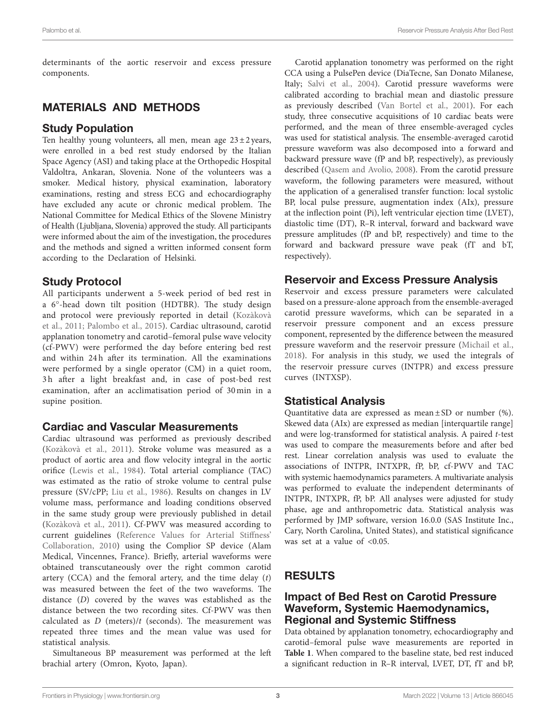determinants of the aortic reservoir and excess pressure components.

# MATERIALS AND METHODS

## Study Population

Ten healthy young volunteers, all men, mean age  $23 \pm 2$  years, were enrolled in a bed rest study endorsed by the Italian Space Agency (ASI) and taking place at the Orthopedic Hospital Valdoltra, Ankaran, Slovenia. None of the volunteers was a smoker. Medical history, physical examination, laboratory examinations, resting and stress ECG and echocardiography have excluded any acute or chronic medical problem. The National Committee for Medical Ethics of the Slovene Ministry of Health (Ljubljana, Slovenia) approved the study. All participants were informed about the aim of the investigation, the procedures and the methods and signed a written informed consent form according to the Declaration of Helsinki.

# Study Protocol

All participants underwent a 5-week period of bed rest in a 6°-head down tilt position (HDTBR). The study design and protocol were previously reported in detail ([Kozàkovà](#page-6-6)  [et al., 2011](#page-6-6); [Palombo et al., 2015\)](#page-7-9). Cardiac ultrasound, carotid applanation tonometry and carotid–femoral pulse wave velocity (cf-PWV) were performed the day before entering bed rest and within 24 h after its termination. All the examinations were performed by a single operator (CM) in a quiet room, 3 h after a light breakfast and, in case of post-bed rest examination, after an acclimatisation period of 30 min in a supine position.

#### Cardiac and Vascular Measurements

Cardiac ultrasound was performed as previously described ([Kozàkovà et al., 2011\)](#page-6-6). Stroke volume was measured as a product of aortic area and flow velocity integral in the aortic orifice ([Lewis et al., 1984](#page-7-10)). Total arterial compliance (TAC) was estimated as the ratio of stroke volume to central pulse pressure (SV/cPP; [Liu et al., 1986\)](#page-7-11). Results on changes in LV volume mass, performance and loading conditions observed in the same study group were previously published in detail ([Kozàkovà et al., 2011](#page-6-6)). Cf-PWV was measured according to current guidelines [\(Reference Values for Arterial Stiffness'](#page-7-12)  [Collaboration, 2010\)](#page-7-12) using the Complior SP device (Alam Medical, Vincennes, France). Briefly, arterial waveforms were obtained transcutaneously over the right common carotid artery (CCA) and the femoral artery, and the time delay (*t*) was measured between the feet of the two waveforms. The distance (*D*) covered by the waves was established as the distance between the two recording sites. Cf-PWV was then calculated as *D* (meters)/*t* (seconds). The measurement was repeated three times and the mean value was used for statistical analysis.

Simultaneous BP measurement was performed at the left brachial artery (Omron, Kyoto, Japan).

Carotid applanation tonometry was performed on the right CCA using a PulsePen device (DiaTecne, San Donato Milanese, Italy; Salvi et al., 2004). Carotid pressure waveforms were calibrated according to brachial mean and diastolic pressure as previously described ([Van Bortel et al., 2001](#page-7-14)). For each study, three consecutive acquisitions of 10 cardiac beats were performed, and the mean of three ensemble-averaged cycles was used for statistical analysis. The ensemble-averaged carotid pressure waveform was also decomposed into a forward and backward pressure wave (fP and bP, respectively), as previously described ([Qasem and Avolio, 2008\)](#page-7-15). From the carotid pressure waveform, the following parameters were measured, without the application of a generalised transfer function: local systolic BP, local pulse pressure, augmentation index (AIx), pressure at the inflection point (Pi), left ventricular ejection time (LVET), diastolic time (DT), R–R interval, forward and backward wave pressure amplitudes (fP and bP, respectively) and time to the forward and backward pressure wave peak (fT and bT, respectively).

## Reservoir and Excess Pressure Analysis

Reservoir and excess pressure parameters were calculated based on a pressure-alone approach from the ensemble-averaged carotid pressure waveforms, which can be separated in a reservoir pressure component and an excess pressure component, represented by the difference between the measured pressure waveform and the reservoir pressure ([Michail et al.,](#page-7-8)  [2018](#page-7-8)). For analysis in this study, we used the integrals of the reservoir pressure curves (INTPR) and excess pressure curves (INTXSP).

## Statistical Analysis

Quantitative data are expressed as mean  $\pm$  SD or number (%). Skewed data (AIx) are expressed as median [interquartile range] and were log-transformed for statistical analysis. A paired *t*-test was used to compare the measurements before and after bed rest. Linear correlation analysis was used to evaluate the associations of INTPR, INTXPR, fP, bP, cf-PWV and TAC with systemic haemodynamics parameters. A multivariate analysis was performed to evaluate the independent determinants of INTPR, INTXPR, fP, bP. All analyses were adjusted for study phase, age and anthropometric data. Statistical analysis was performed by JMP software, version 16.0.0 (SAS Institute Inc., Cary, North Carolina, United States), and statistical significance was set at a value of <0.05.

# RESULTS

#### Impact of Bed Rest on Carotid Pressure Waveform, Systemic Haemodynamics, Regional and Systemic Stiffness

Data obtained by applanation tonometry, echocardiography and carotid–femoral pulse wave measurements are reported in **[Table 1](#page-3-0)**. When compared to the baseline state, bed rest induced a significant reduction in R–R interval, LVET, DT, fT and bP,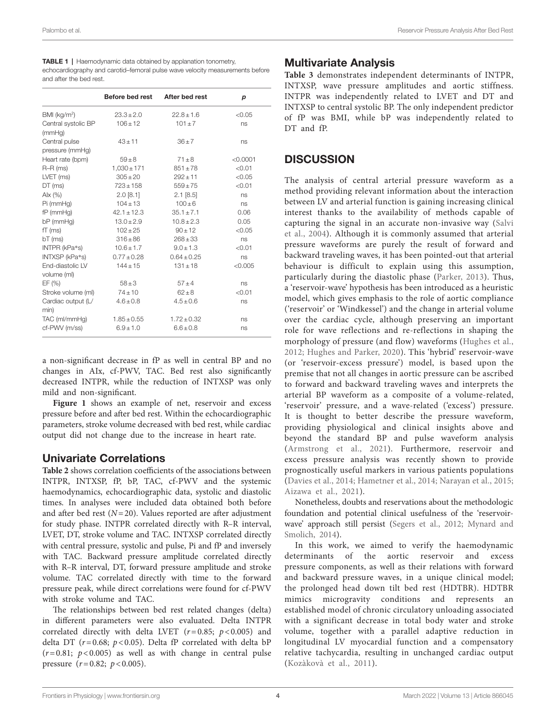Palombo et al. Reservoir Pressure Analysis After Bed Rest

<span id="page-3-0"></span>**TABLE 1** | Haemodynamic data obtained by applanation tonometry, echocardiography and carotid–femoral pulse wave velocity measurements before and after the bed rest.

|                            | Before bed rest | After bed rest  | p        |
|----------------------------|-----------------|-----------------|----------|
| $BMI$ (kg/m <sup>2</sup> ) | $23.3 \pm 2.0$  | $22.8 + 1.6$    | < 0.05   |
| Central systolic BP        | $106 \pm 12$    | $101 \pm 7$     | ns       |
| (mmHq)                     |                 |                 |          |
| Central pulse              | $43 + 11$       | $36 + 7$        | ns       |
| pressure (mmHg)            |                 |                 |          |
| Heart rate (bpm)           | $59 \pm 8$      | $71 \pm 8$      | < 0.0001 |
| $R-R$ (ms)                 | $1,030 \pm 171$ | $851 \pm 78$    | < 0.01   |
| LVET (ms)                  | $305 \pm 20$    | $292 \pm 11$    | < 0.05   |
| DT (ms)                    | $723 \pm 158$   | $559 + 75$      | < 0.01   |
| Alx $(%)$                  | $2.0$ [8.1]     | $2.1$ [8.5]     | ns       |
| Pi (mmHg)                  | $104 \pm 13$    | $100 + 6$       | ns       |
| $fP$ (mm $Hq$ )            | $42.1 \pm 12.3$ | $35.1 \pm 7.1$  | 0.06     |
| $bP$ (mmHq)                | $13.0 \pm 2.9$  | $10.8 \pm 2.3$  | 0.05     |
| $fT$ (ms)                  | $102 \pm 25$    | $90 \pm 12$     | < 0.05   |
| $bT$ (ms)                  | $316 \pm 86$    | $268 \pm 33$    | ns       |
| INTPR (kPa*s)              | $10.6 \pm 1.7$  | $9.0 \pm 1.3$   | < 0.01   |
| INTXSP (kPa*s)             | $0.77 \pm 0.28$ | $0.64 \pm 0.25$ | ns       |
| <b>End-diastolic LV</b>    | $144 \pm 15$    | $131 \pm 18$    | < 0.005  |
| volume (ml)                |                 |                 |          |
| EF(%)                      | $58 \pm 3$      | $57 \pm 4$      | ns       |
| Stroke volume (ml)         | $74 \pm 10$     | $62 + 8$        | < 0.01   |
| Cardiac output (L/<br>min) | $4.6 \pm 0.8$   | $4.5 \pm 0.6$   | ns       |
| TAC (ml/mmHq)              | $1.85 \pm 0.55$ | $1.72 \pm 0.32$ | ns       |
| cf-PWV (m/ss)              | $6.9 \pm 1.0$   | $6.6 \pm 0.8$   | ns       |
|                            |                 |                 |          |

a non-significant decrease in fP as well in central BP and no changes in AIx, cf-PWV, TAC. Bed rest also significantly decreased INTPR, while the reduction of INTXSP was only mild and non-significant.

Figure 1 shows an example of net, reservoir and excess pressure before and after bed rest. Within the echocardiographic parameters, stroke volume decreased with bed rest, while cardiac output did not change due to the increase in heart rate.

#### Univariate Correlations

**[Table 2](#page-4-1)** shows correlation coefficients of the associations between INTPR, INTXSP, fP, bP, TAC, cf-PWV and the systemic haemodynamics, echocardiographic data, systolic and diastolic times. In analyses were included data obtained both before and after bed rest (*N*=20). Values reported are after adjustment for study phase. INTPR correlated directly with R–R interval, LVET, DT, stroke volume and TAC. INTXSP correlated directly with central pressure, systolic and pulse, Pi and fP and inversely with TAC. Backward pressure amplitude correlated directly with R–R interval, DT, forward pressure amplitude and stroke volume. TAC correlated directly with time to the forward pressure peak, while direct correlations were found for cf-PWV with stroke volume and TAC.

The relationships between bed rest related changes (delta) in different parameters were also evaluated. Delta INTPR correlated directly with delta LVET  $(r=0.85; p<0.005)$  and delta DT ( $r=0.68$ ;  $p<0.05$ ). Delta fP correlated with delta bP  $(r=0.81; p<0.005)$  as well as with change in central pulse pressure (*r*=0.82; *p*<0.005).

# Multivariate Analysis

**[Table 3](#page-5-0)** demonstrates independent determinants of INTPR, INTXSP, wave pressure amplitudes and aortic stiffness. INTPR was independently related to LVET and DT and INTXSP to central systolic BP. The only independent predictor of fP was BMI, while bP was independently related to DT and fP.

## **DISCUSSION**

The analysis of central arterial pressure waveform as a method providing relevant information about the interaction between LV and arterial function is gaining increasing clinical interest thanks to the availability of methods capable of capturing the signal in an accurate non-invasive way ([Salvi](#page-7-13)  [et al., 2004](#page-7-13)). Although it is commonly assumed that arterial pressure waveforms are purely the result of forward and backward traveling waves, it has been pointed-out that arterial behaviour is difficult to explain using this assumption, particularly during the diastolic phase ([Parker, 2013](#page-7-6)). Thus, a 'reservoir-wave' hypothesis has been introduced as a heuristic model, which gives emphasis to the role of aortic compliance ('reservoir' or 'Windkessel') and the change in arterial volume over the cardiac cycle, although preserving an important role for wave reflections and re-reflections in shaping the morphology of pressure (and flow) waveforms ([Hughes et al.,](#page-6-1)  [2012;](#page-6-1) [Hughes and Parker, 2020\)](#page-6-2). This 'hybrid' reservoir-wave (or 'reservoir-excess pressure') model, is based upon the premise that not all changes in aortic pressure can be ascribed to forward and backward traveling waves and interprets the arterial BP waveform as a composite of a volume-related, 'reservoir' pressure, and a wave-related ('excess') pressure. It is thought to better describe the pressure waveform, providing physiological and clinical insights above and beyond the standard BP and pulse waveform analysis [\(Armstrong et al., 2021](#page-6-5)). Furthermore, reservoir and excess pressure analysis was recently shown to provide prognostically useful markers in various patients populations [\(Davies et al., 2014](#page-6-7); [Hametner et al., 2014](#page-6-8); [Narayan et al., 2015;](#page-7-16) [Aizawa et al., 2021](#page-6-9)).

Nonetheless, doubts and reservations about the methodologic foundation and potential clinical usefulness of the 'reservoirwave' approach still persist ([Segers et al., 2012](#page-7-7); [Mynard and](#page-7-17)  [Smolich, 2014](#page-7-17)).

In this work, we aimed to verify the haemodynamic determinants of the aortic reservoir and excess pressure components, as well as their relations with forward and backward pressure waves, in a unique clinical model; the prolonged head down tilt bed rest (HDTBR). HDTBR mimics microgravity conditions and represents an established model of chronic circulatory unloading associated with a significant decrease in total body water and stroke volume, together with a parallel adaptive reduction in longitudinal LV myocardial function and a compensatory relative tachycardia, resulting in unchanged cardiac output [\(Kozàkovà et al., 2011](#page-6-6)).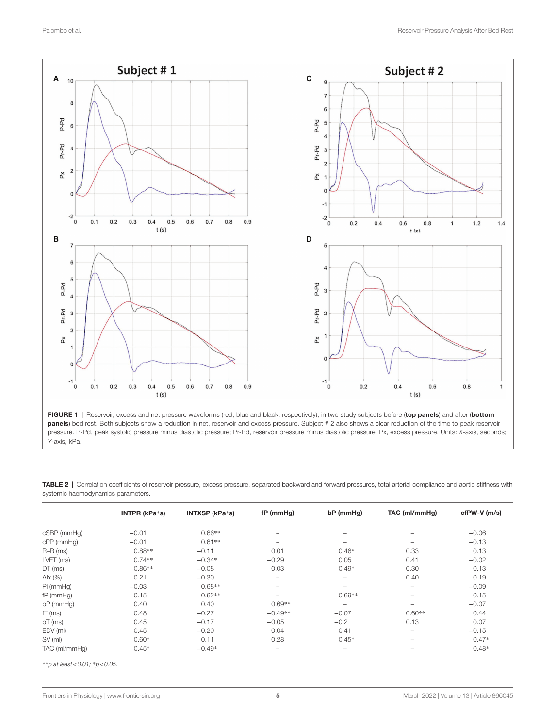<span id="page-4-0"></span>

FIGURE 1 | Reservoir, excess and net pressure waveforms (red, blue and black, respectively), in two study subjects before (top panels) and after (bottom panels) bed rest. Both subjects show a reduction in net, reservoir and excess pressure. Subject # 2 also shows a clear reduction of the time to peak reservoir pressure. P-Pd, peak systolic pressure minus diastolic pressure; Pr-Pd, reservoir pressure minus diastolic pressure; Px, excess pressure. Units: *X*-axis, seconds; *Y*-axis, kPa.

<span id="page-4-1"></span>

| TABLE 2   Correlation coefficients of reservoir pressure, excess pressure, separated backward and forward pressures, total arterial compliance and aortic stiffness with |
|--------------------------------------------------------------------------------------------------------------------------------------------------------------------------|
| systemic haemodynamics parameters.                                                                                                                                       |

|                 | INTPR (kPa*s) | INTXSP (kPa*s) | fP (mmHg)                | bP (mmHg) | TAC (ml/mmHg)            | cfPW-V (m/s) |
|-----------------|---------------|----------------|--------------------------|-----------|--------------------------|--------------|
| cSBP (mmHg)     | $-0.01$       | $0.66**$       | $\overline{\phantom{m}}$ |           |                          | $-0.06$      |
| cPP (mmHq)      | $-0.01$       | $0.61**$       | $\qquad \qquad -$        | -         |                          | $-0.13$      |
| $R-R$ (ms)      | $0.88**$      | $-0.11$        | 0.01                     | $0.46*$   | 0.33                     | 0.13         |
| LVET (ms)       | $0.74**$      | $-0.34*$       | $-0.29$                  | 0.05      | 0.41                     | $-0.02$      |
| DT (ms)         | $0.86**$      | $-0.08$        | 0.03                     | $0.49*$   | 0.30                     | 0.13         |
| Alx $(%)$       | 0.21          | $-0.30$        | $\overline{\phantom{m}}$ | -         | 0.40                     | 0.19         |
| Pi (mmHq)       | $-0.03$       | $0.68**$       | $\overline{\phantom{m}}$ | -         | $\qquad \qquad$          | $-0.09$      |
| $fP$ (mm $Hq$ ) | $-0.15$       | $0.62**$       | $\qquad \qquad -$        | $0.69**$  | $\overline{\phantom{a}}$ | $-0.15$      |
| bP (mmHq)       | 0.40          | 0.40           | $0.69**$                 | -         | $\overline{\phantom{a}}$ | $-0.07$      |
| $fT$ (ms)       | 0.48          | $-0.27$        | $-0.49**$                | $-0.07$   | $0.60**$                 | 0.44         |
| $bT$ (ms)       | 0.45          | $-0.17$        | $-0.05$                  | $-0.2$    | 0.13                     | 0.07         |
| EDV (ml)        | 0.45          | $-0.20$        | 0.04                     | 0.41      | $\overline{\phantom{a}}$ | $-0.15$      |
| SV (ml)         | $0.60*$       | 0.11           | 0.28                     | $0.45*$   | $\overline{\phantom{a}}$ | $0.47*$      |
| TAC (ml/mmHq)   | $0.45*$       | $-0.49*$       | $\qquad \qquad -$        | -         | $\overline{\phantom{a}}$ | $0.48*$      |

\*\**p at least<0.01;* \**p<0.05.*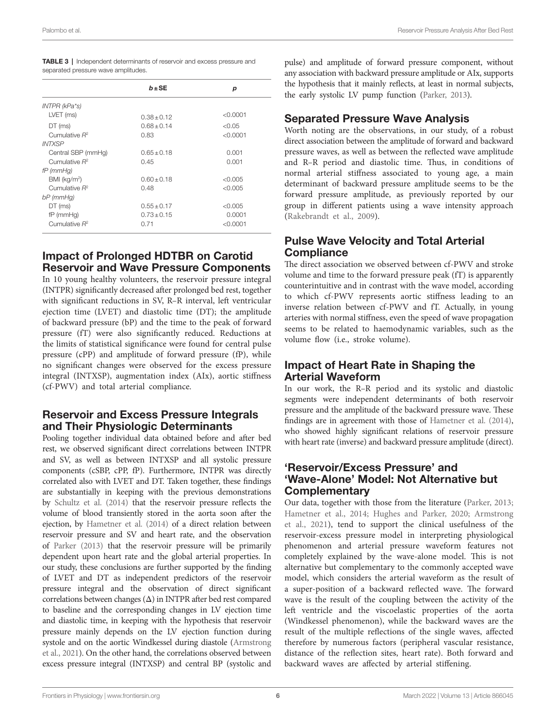<span id="page-5-0"></span>

| <b>TABLE 3</b>   Independent determinants of reservoir and excess pressure and |  |  |  |
|--------------------------------------------------------------------------------|--|--|--|
| separated pressure wave amplitudes.                                            |  |  |  |

|                            | $b \pm SE$      | р        |
|----------------------------|-----------------|----------|
| INTPR (kPa*s)              |                 |          |
| LVET (ms)                  | $0.38 \pm 0.12$ | < 0.0001 |
| DT (ms)                    | $0.68 + 0.14$   | < 0.05   |
| Cumulative $R^2$           | 0.83            | < 0.0001 |
| <b>INTXSP</b>              |                 |          |
| Central SBP (mmHg)         | $0.65 \pm 0.18$ | 0.001    |
| Cumulative $R^2$           | 0.45            | 0.001    |
| $fP$ (mmHg)                |                 |          |
| $BMI$ (kg/m <sup>2</sup> ) | $0.60 + 0.18$   | < 0.005  |
| Cumulative $R^2$           | 0.48            | < 0.005  |
| $bP$ (mmHg)                |                 |          |
| DT (ms)                    | $0.55 + 0.17$   | < 0.005  |
| $fP$ (mm $Hq$ )            | $0.73 + 0.15$   | 0.0001   |
| Cumulative $R^2$           | 0.71            | < 0.0001 |

#### Impact of Prolonged HDTBR on Carotid Reservoir and Wave Pressure Components

In 10 young healthy volunteers, the reservoir pressure integral (INTPR) significantly decreased after prolonged bed rest, together with significant reductions in SV, R–R interval, left ventricular ejection time (LVET) and diastolic time (DT); the amplitude of backward pressure (bP) and the time to the peak of forward pressure (fT) were also significantly reduced. Reductions at the limits of statistical significance were found for central pulse pressure (cPP) and amplitude of forward pressure (fP), while no significant changes were observed for the excess pressure integral (INTXSP), augmentation index (AIx), aortic stiffness (cf-PWV) and total arterial compliance.

#### Reservoir and Excess Pressure Integrals and Their Physiologic Determinants

Pooling together individual data obtained before and after bed rest, we observed significant direct correlations between INTPR and SV, as well as between INTXSP and all systolic pressure components (cSBP, cPP, fP). Furthermore, INTPR was directly correlated also with LVET and DT. Taken together, these findings are substantially in keeping with the previous demonstrations by [Schultz et al. \(2014\)](#page-7-4) that the reservoir pressure reflects the volume of blood transiently stored in the aorta soon after the ejection, by [Hametner et al. \(2014\)](#page-6-8) of a direct relation between reservoir pressure and SV and heart rate, and the observation of [Parker \(2013\)](#page-7-6) that the reservoir pressure will be primarily dependent upon heart rate and the global arterial properties. In our study, these conclusions are further supported by the finding of LVET and DT as independent predictors of the reservoir pressure integral and the observation of direct significant correlations between changes (Δ) in INTPR after bed rest compared to baseline and the corresponding changes in LV ejection time and diastolic time, in keeping with the hypothesis that reservoir pressure mainly depends on the LV ejection function during systole and on the aortic Windkessel during diastole ([Armstrong](#page-6-5)  [et al., 2021\)](#page-6-5). On the other hand, the correlations observed between excess pressure integral (INTXSP) and central BP (systolic and pulse) and amplitude of forward pressure component, without any association with backward pressure amplitude or AIx, supports the hypothesis that it mainly reflects, at least in normal subjects, the early systolic LV pump function [\(Parker, 2013](#page-7-6)).

#### Separated Pressure Wave Analysis

Worth noting are the observations, in our study, of a robust direct association between the amplitude of forward and backward pressure waves, as well as between the reflected wave amplitude and R–R period and diastolic time. Thus, in conditions of normal arterial stiffness associated to young age, a main determinant of backward pressure amplitude seems to be the forward pressure amplitude, as previously reported by our group in different patients using a wave intensity approach [\(Rakebrandt et al., 2009](#page-7-18)).

#### Pulse Wave Velocity and Total Arterial **Compliance**

The direct association we observed between cf-PWV and stroke volume and time to the forward pressure peak (fT) is apparently counterintuitive and in contrast with the wave model, according to which cf-PWV represents aortic stiffness leading to an inverse relation between cf-PWV and fT. Actually, in young arteries with normal stiffness, even the speed of wave propagation seems to be related to haemodynamic variables, such as the volume flow (i.e., stroke volume).

#### Impact of Heart Rate in Shaping the Arterial Waveform

In our work, the R–R period and its systolic and diastolic segments were independent determinants of both reservoir pressure and the amplitude of the backward pressure wave. These findings are in agreement with those of [Hametner et al. \(2014\),](#page-6-8) who showed highly significant relations of reservoir pressure with heart rate (inverse) and backward pressure amplitude (direct).

#### 'Reservoir/Excess Pressure' and 'Wave-Alone' Model: Not Alternative but **Complementary**

Our data, together with those from the literature [\(Parker, 2013;](#page-7-6) [Hametner et al., 2014;](#page-6-8) [Hughes and Parker, 2020](#page-6-2); [Armstrong](#page-6-5)  [et al., 2021](#page-6-5)), tend to support the clinical usefulness of the reservoir-excess pressure model in interpreting physiological phenomenon and arterial pressure waveform features not completely explained by the wave-alone model. This is not alternative but complementary to the commonly accepted wave model, which considers the arterial waveform as the result of a super-position of a backward reflected wave. The forward wave is the result of the coupling between the activity of the left ventricle and the viscoelastic properties of the aorta (Windkessel phenomenon), while the backward waves are the result of the multiple reflections of the single waves, affected therefore by numerous factors (peripheral vascular resistance, distance of the reflection sites, heart rate). Both forward and backward waves are affected by arterial stiffening.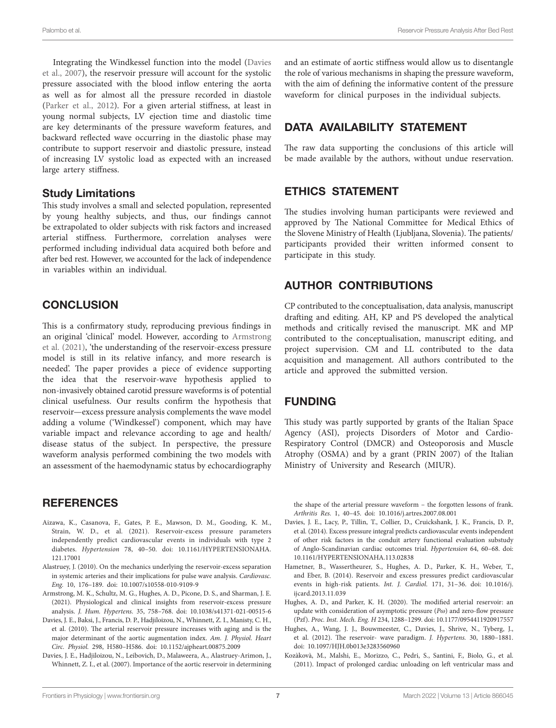Integrating the Windkessel function into the model [\(Davies](#page-6-0)  [et al., 2007\)](#page-6-0), the reservoir pressure will account for the systolic pressure associated with the blood inflow entering the aorta as well as for almost all the pressure recorded in diastole ([Parker et al., 2012](#page-7-5)). For a given arterial stiffness, at least in young normal subjects, LV ejection time and diastolic time are key determinants of the pressure waveform features, and backward reflected wave occurring in the diastolic phase may contribute to support reservoir and diastolic pressure, instead of increasing LV systolic load as expected with an increased large artery stiffness.

#### Study Limitations

This study involves a small and selected population, represented by young healthy subjects, and thus, our findings cannot be extrapolated to older subjects with risk factors and increased arterial stiffness. Furthermore, correlation analyses were performed including individual data acquired both before and after bed rest. However, we accounted for the lack of independence in variables within an individual.

#### **CONCLUSION**

This is a confirmatory study, reproducing previous findings in an original 'clinical' model. However, according to [Armstrong](#page-6-5)  [et al. \(2021\)](#page-6-5), 'the understanding of the reservoir-excess pressure model is still in its relative infancy, and more research is needed'. The paper provides a piece of evidence supporting the idea that the reservoir-wave hypothesis applied to non-invasively obtained carotid pressure waveforms is of potential clinical usefulness. Our results confirm the hypothesis that reservoir—excess pressure analysis complements the wave model adding a volume ('Windkessel') component, which may have variable impact and relevance according to age and health/ disease status of the subject. In perspective, the pressure waveform analysis performed combining the two models with an assessment of the haemodynamic status by echocardiography

## **REFERENCES**

- <span id="page-6-9"></span>Aizawa, K., Casanova, F., Gates, P. E., Mawson, D. M., Gooding, K. M., Strain, W. D., et al. (2021). Reservoir-excess pressure parameters independently predict cardiovascular events in individuals with type 2 diabetes. *Hypertension* 78, 40–50. doi: [10.1161/HYPERTENSIONAHA.](https://doi.org/10.1161/HYPERTENSIONAHA.121.17001) [121.17001](https://doi.org/10.1161/HYPERTENSIONAHA.121.17001)
- <span id="page-6-4"></span>Alastruey, J. (2010). On the mechanics underlying the reservoir-excess separation in systemic arteries and their implications for pulse wave analysis. *Cardiovasc. Eng.* 10, 176–189. doi: [10.1007/s10558-010-9109-9](https://doi.org/10.1007/s10558-010-9109-9)
- <span id="page-6-5"></span>Armstrong, M. K., Schultz, M. G., Hughes, A. D., Picone, D. S., and Sharman, J. E. (2021). Physiological and clinical insights from reservoir-excess pressure analysis. *J. Hum. Hypertens.* 35, 758–768. doi: [10.1038/s41371-021-00515-6](https://doi.org/10.1038/s41371-021-00515-6)
- <span id="page-6-3"></span>Davies, J. E., Baksi, J., Francis, D. P., Hadjiloizou, N., Whinnett, Z. I., Manisty, C. H., et al. (2010). The arterial reservoir pressure increases with aging and is the major determinant of the aortic augmentation index. *Am. J. Physiol. Heart Circ. Physiol.* 298, H580–H586. doi: [10.1152/ajpheart.00875.2009](https://doi.org/10.1152/ajpheart.00875.2009)
- <span id="page-6-0"></span>Davies, J. E., Hadjiloizou, N., Leibovich, D., Malaweera, A., Alastruey-Arimon, J., Whinnett, Z. I., et al. (2007). Importance of the aortic reservoir in determining

and an estimate of aortic stiffness would allow us to disentangle the role of various mechanisms in shaping the pressure waveform, with the aim of defining the informative content of the pressure waveform for clinical purposes in the individual subjects.

#### DATA AVAILABILITY STATEMENT

The raw data supporting the conclusions of this article will be made available by the authors, without undue reservation.

#### ETHICS STATEMENT

The studies involving human participants were reviewed and approved by The National Committee for Medical Ethics of the Slovene Ministry of Health (Ljubljana, Slovenia). The patients/ participants provided their written informed consent to participate in this study.

#### AUTHOR CONTRIBUTIONS

CP contributed to the conceptualisation, data analysis, manuscript drafting and editing. AH, KP and PS developed the analytical methods and critically revised the manuscript. MK and MP contributed to the conceptualisation, manuscript editing, and project supervision. CM and LL contributed to the data acquisition and management. All authors contributed to the article and approved the submitted version.

#### FUNDING

This study was partly supported by grants of the Italian Space Agency (ASI), projects Disorders of Motor and Cardio-Respiratory Control (DMCR) and Osteoporosis and Muscle Atrophy (OSMA) and by a grant (PRIN 2007) of the Italian Ministry of University and Research (MIUR).

the shape of the arterial pressure waveform – the forgotten lessons of frank. *Arthritis Res.* 1, 40–45. doi: [10.1016/j.artres.2007.08.001](https://doi.org/10.1016/j.artres.2007.08.001)

- <span id="page-6-7"></span>Davies, J. E., Lacy, P., Tillin, T., Collier, D., Cruickshank, J. K., Francis, D. P., et al. (2014). Excess pressure integral predicts cardiovascular events independent of other risk factors in the conduit artery functional evaluation substudy of Anglo-Scandinavian cardiac outcomes trial. *Hypertension* 64, 60–68. doi: [10.1161/HYPERTENSIONAHA.113.02838](https://doi.org/10.1161/HYPERTENSIONAHA.113.02838)
- <span id="page-6-8"></span>Hametner, B., Wassertheurer, S., Hughes, A. D., Parker, K. H., Weber, T., and Eber, B. (2014). Reservoir and excess pressures predict cardiovascular events in high-risk patients. *Int. J. Cardiol.* 171, 31–36. doi: [10.1016/j.](https://doi.org/10.1016/j.ijcard.2013.11.039) iicard.2013.11.039
- <span id="page-6-2"></span>Hughes, A. D., and Parker, K. H. (2020). The modified arterial reservoir: an update with consideration of asymptotic pressure (*P*<sup>o</sup>) and zero-flow pressure (Pzf). *Proc. Inst. Mech. Eng. H* 234, 1288–1299. doi: [10.1177/0954411920917557](https://doi.org/10.1177/0954411920917557)
- <span id="page-6-1"></span>Hughes, A., Wang, J. J., Bouwmeester, C., Davies, J., Shrive, N., Tyberg, J., et al. (2012). The reservoir- wave paradigm. *J. Hypertens.* 30, 1880–1881. doi: [10.1097/HJH.0b013e3283560960](https://doi.org/10.1097/HJH.0b013e3283560960)
- <span id="page-6-6"></span>Kozàkovà, M., Malshi, E., Morizzo, C., Pedri, S., Santini, F., Biolo, G., et al. (2011). Impact of prolonged cardiac unloading on left ventricular mass and